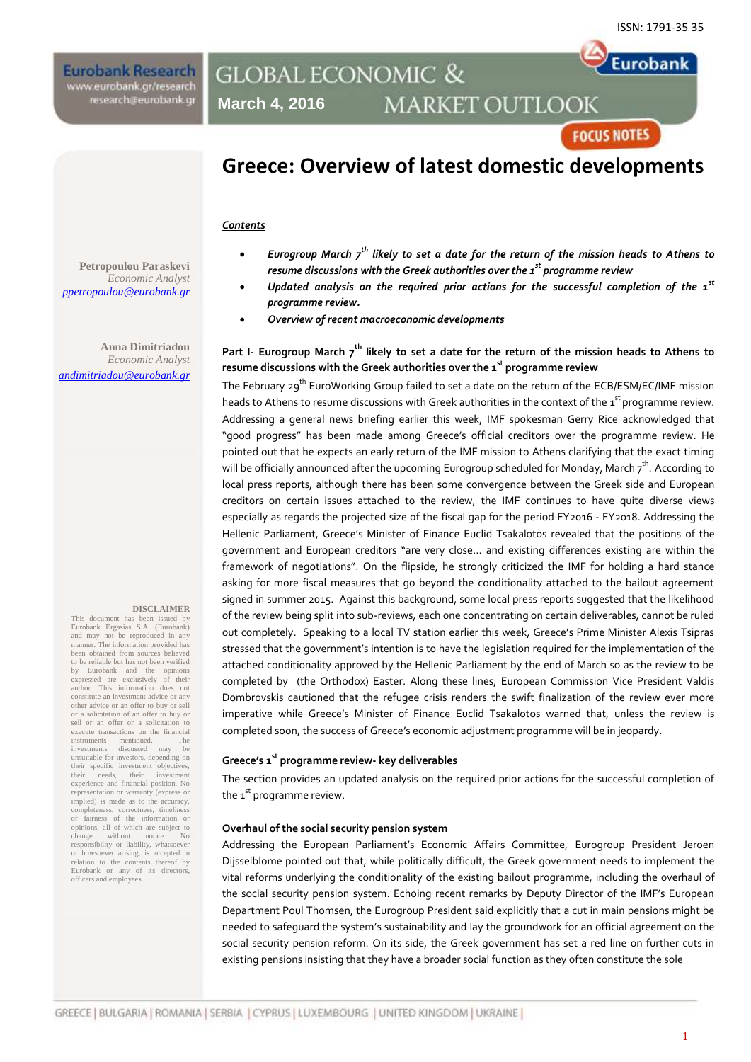Eurobank

**Eurobank Research** www.eurobank.gr/research research@eurobank.gr

## **GLOBAL ECONOMIC & MARKET OUTLOOK March 4, 2016**

# **FOCUS NOTES**

# **Greece: Overview of latest domestic developments**

#### *Contents*

- *Eurogroup March 7th likely to set a date for the return of the mission heads to Athens to resume discussions with the Greek authorities over the 1 st programme review*
- *Updated analysis on the required prior actions for the successful completion of the 1st programme review.*
- *Overview of recent macroeconomic developments*

### **Part I- Eurogroup March 7th likely to set a date for the return of the mission heads to Athens to resume discussions with the Greek authorities over the 1 st programme review**

The February 29<sup>th</sup> EuroWorking Group failed to set a date on the return of the ECB/ESM/EC/IMF mission heads to Athens to resume discussions with Greek authorities in the context of the  $\texttt{\texttt{i}}^{\text{st}}$  programme review. Addressing a general news briefing earlier this week, IMF spokesman Gerry Rice acknowledged that "good progress" has been made among Greece's official creditors over the programme review. He pointed out that he expects an early return of the IMF mission to Athens clarifying that the exact timing will be officially announced after the upcoming Eurogroup scheduled for Monday, March  $\tau^{\text{th}}$ . According to local press reports, although there has been some convergence between the Greek side and European creditors on certain issues attached to the review, the IMF continues to have quite diverse views especially as regards the projected size of the fiscal gap for the period FY2016 - FY2018. Addressing the Hellenic Parliament, Greece's Minister of Finance Euclid Tsakalotos revealed that the positions of the government and European creditors "are very close… and existing differences existing are within the framework of negotiations". On the flipside, he strongly criticized the IMF for holding a hard stance asking for more fiscal measures that go beyond the conditionality attached to the bailout agreement signed in summer 2015. Against this background, some local press reports suggested that the likelihood of the review being split into sub-reviews, each one concentrating on certain deliverables, cannot be ruled out completely. Speaking to a local TV station earlier this week, Greece's Prime Minister Alexis Tsipras stressed that the government's intention is to have the legislation required for the implementation of the attached conditionality approved by the Hellenic Parliament by the end of March so as the review to be completed by (the Orthodox) Easter. Along these lines, European Commission Vice President Valdis Dombrovskis cautioned that the refugee crisis renders the swift finalization of the review ever more imperative while Greece's Minister of Finance Euclid Tsakalotos warned that, unless the review is completed soon, the success of Greece's economic adjustment programme will be in jeopardy.

#### **Greece's 1st programme review- key deliverables**

The section provides an updated analysis on the required prior actions for the successful completion of the  $1<sup>st</sup>$  programme review.

#### **Overhaul of the social security pension system**

Addressing the European Parliament's Economic Affairs Committee, Eurogroup President Jeroen Dijsselblome pointed out that, while politically difficult, the Greek government needs to implement the vital reforms underlying the conditionality of the existing bailout programme, including the overhaul of the social security pension system. Echoing recent remarks by Deputy Director of the IMF's European Department Poul Thomsen, the Eurogroup President said explicitly that a cut in main pensions might be needed to safeguard the system's sustainability and lay the groundwork for an official agreement on the social security pension reform. On its side, the Greek government has set a red line on further cuts in existing pensions insisting that they have a broader social function as they often constitute the sole

**Petropoulou Paraskevi** *Economic Analyst [ppetropoulou@eurobank.gr](mailto:ppetropoulou@eurobank.gr)*

**Anna Dimitriadou** *Economic Analyst andimitriadou@eurobank.gr*

#### **DISCLAIMER**

This document has been issued by Eurobank Ergasias S.A. (Eurobank) and may not be reproduced in any manner. The information provided has been obtained from sources believed to be reliable but has not been verified by Eurobank and the opinions expressed are exclusively of their expressed are exclusively of their<br>author. This information does not constitute an investment advice or any other advice or an offer to buy or sell or a solicitation of an offer to buy or sell or an offer or a solicitation to execute transactions on the financial<br>instruments mentioned. The instruments mentioned. The investments discussed may be unsuitable for investors, depending on their specific investment objectives,<br>their needs, their investment their needs, their investment experience and financial position. No representation or warranty (express or implied) is made as to the accuracy. completeness, correctness, timeliness or fairness of the information or opinions, all of which are subject to change without notice. No responsibility or liability, whatsoever or howsoever arising, is accepted in relation to the contents thereof by Eurobank or any of its directors, officers and employees.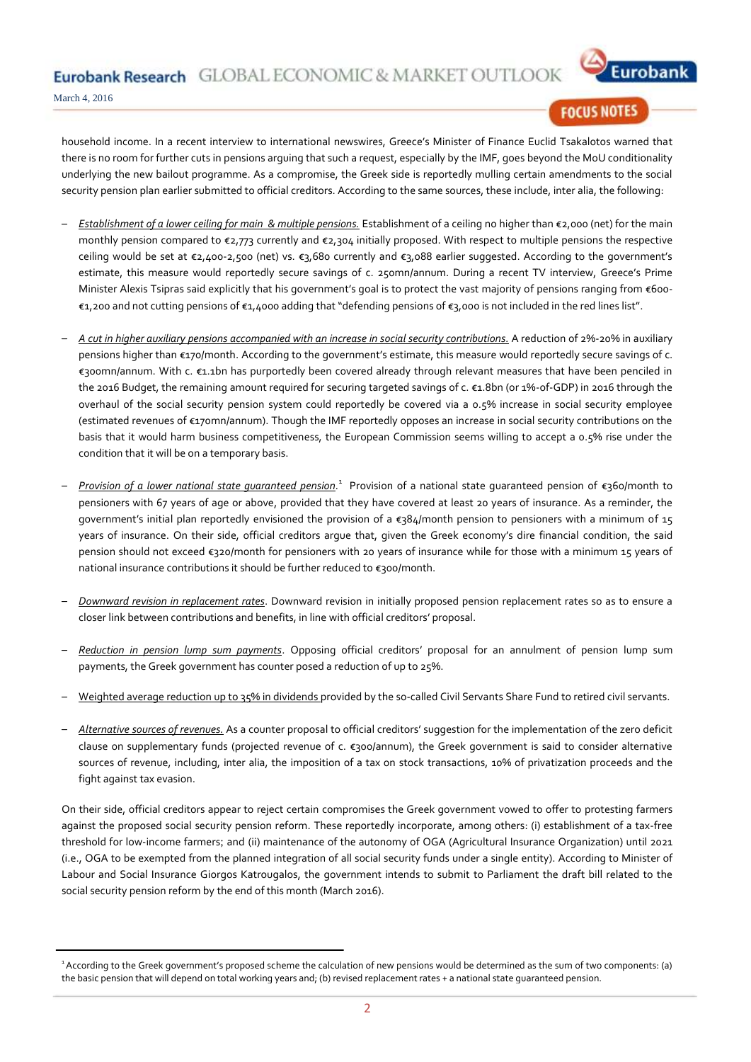Eurobank Research GLOBAL ECONOMIC & MARKET OUTLO



March 4, 2016

### **FOCUS NOTES**

household income. In a recent interview to international newswires, Greece's Minister of Finance Euclid Tsakalotos warned that there is no room for further cuts in pensions arguing that such a request, especially by the IMF, goes beyond the MoU conditionality underlying the new bailout programme. As a compromise, the Greek side is reportedly mulling certain amendments to the social security pension plan earlier submitted to official creditors. According to the same sources, these include, inter alia, the following:

- *Establishment of a lower ceiling for main & multiple pensions.* Establishment of a ceiling no higher than €2,000 (net) for the main monthly pension compared to €2,773 currently and €2,304 initially proposed. With respect to multiple pensions the respective ceiling would be set at €2,400-2,500 (net) vs. €3,680 currently and €3,088 earlier suggested. According to the government's estimate, this measure would reportedly secure savings of c. 250mn/annum. During a recent TV interview, Greece's Prime Minister Alexis Tsipras said explicitly that his government's goal is to protect the vast majority of pensions ranging from €600-€1,200 and not cutting pensions of €1,4000 adding that "defending pensions of €3,000 is not included in the red lines list".
- *A cut in higher auxiliary pensions accompanied with an increase in social security contributions.* A reduction of 2%-20% in auxiliary pensions higher than €170/month. According to the government's estimate, this measure would reportedly secure savings of c. €300mn/annum. With c. €1.1bn has purportedly been covered already through relevant measures that have been penciled in the 2016 Budget, the remaining amount required for securing targeted savings of c. €1.8bn (or 1%-of-GDP) in 2016 through the overhaul of the social security pension system could reportedly be covered via a 0.5% increase in social security employee (estimated revenues of €170mn/annum). Though the IMF reportedly opposes an increase in social security contributions on the basis that it would harm business competitiveness, the European Commission seems willing to accept a 0.5% rise under the condition that it will be on a temporary basis.
- Provision of a lower national state guaranteed pension.<sup>1</sup> Provision of a national state guaranteed pension of €360/month to pensioners with 67 years of age or above, provided that they have covered at least 20 years of insurance. As a reminder, the government's initial plan reportedly envisioned the provision of a  $\epsilon_384$ /month pension to pensioners with a minimum of 15 years of insurance. On their side, official creditors argue that, given the Greek economy's dire financial condition, the said pension should not exceed €320/month for pensioners with 20 years of insurance while for those with a minimum 15 years of national insurance contributions it should be further reduced to €300/month.
- *Downward revision in replacement rates*. Downward revision in initially proposed pension replacement rates so as to ensure a closer link between contributions and benefits, in line with official creditors' proposal.
- *Reduction in pension lump sum payments*. Opposing official creditors' proposal for an annulment of pension lump sum payments, the Greek government has counter posed a reduction of up to 25%.
- Weighted average reduction up to 35% in dividends provided by the so-called Civil Servants Share Fund to retired civil servants.
- *Alternative sources of revenues.* As a counter proposal to official creditors' suggestion for the implementation of the zero deficit clause on supplementary funds (projected revenue of c. €300/annum), the Greek government is said to consider alternative sources of revenue, including, inter alia, the imposition of a tax on stock transactions, 10% of privatization proceeds and the fight against tax evasion.

On their side, official creditors appear to reject certain compromises the Greek government vowed to offer to protesting farmers against the proposed social security pension reform. These reportedly incorporate, among others: (i) establishment of a tax-free threshold for low-income farmers; and (ii) maintenance of the autonomy of OGA (Agricultural Insurance Organization) until 2021 (i.e., OGA to be exempted from the planned integration of all social security funds under a single entity). According to Minister of Labour and Social Insurance Giorgos Katrougalos, the government intends to submit to Parliament the draft bill related to the social security pension reform by the end of this month (March 2016).

<sup>1</sup>According to the Greek government's proposed scheme the calculation of new pensions would be determined as the sum of two components: (a) the basic pension that will depend on total working years and; (b) revised replacement rates + a national state guaranteed pension.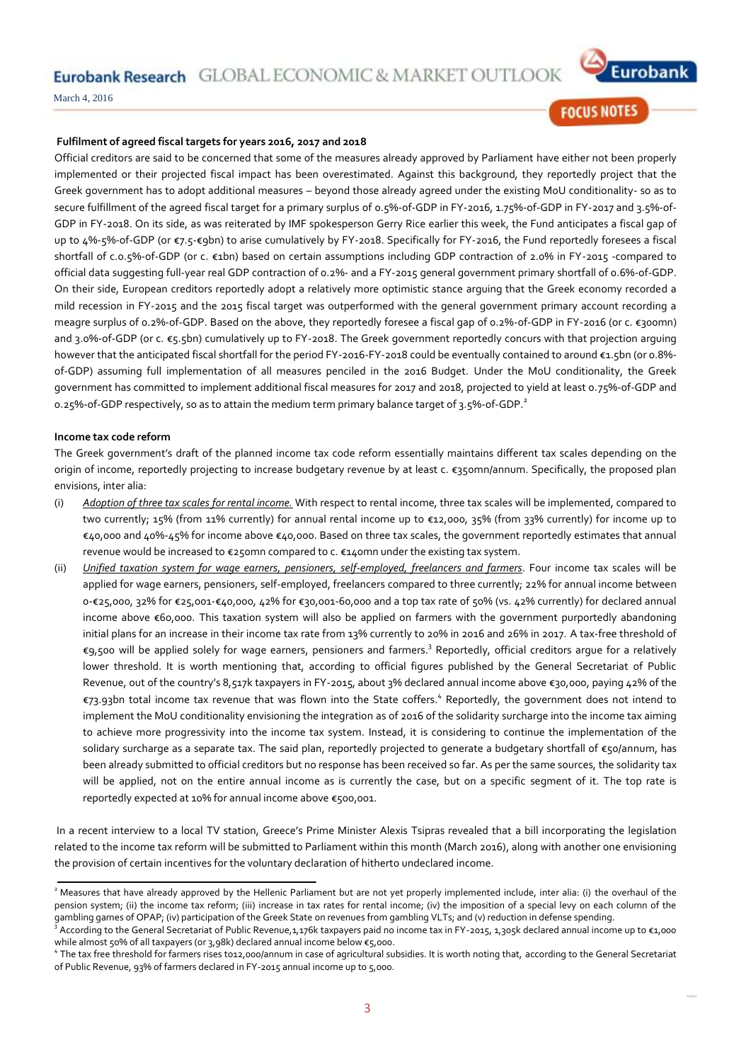Eurobank Research GLOBAL ECONOMIC & MARKET OUTLOOI



March 4, 2016

# **FOCUS NOTES**

#### **Fulfilment of agreed fiscal targets for years 2016, 2017 and 2018**

Official creditors are said to be concerned that some of the measures already approved by Parliament have either not been properly implemented or their projected fiscal impact has been overestimated. Against this background, they reportedly project that the Greek government has to adopt additional measures – beyond those already agreed under the existing MoU conditionality- so as to secure fulfillment of the agreed fiscal target for a primary surplus of 0.5%-of-GDP in FY-2016, 1.75%-of-GDP in FY-2017 and 3.5%-of-GDP in FY-2018. On its side, as was reiterated by IMF spokesperson Gerry Rice earlier this week, the Fund anticipates a fiscal gap of up to 4%-5%-of-GDP (or €7.5-€9bn) to arise cumulatively by FY-2018. Specifically for FY-2016, the Fund reportedly foresees a fiscal shortfall of c.0.5%-of-GDP (or c. €1bn) based on certain assumptions including GDP contraction of 2.0% in FY-2015 -compared to official data suggesting full-year real GDP contraction of 0.2%- and a FY-2015 general government primary shortfall of 0.6%-of-GDP. On their side, European creditors reportedly adopt a relatively more optimistic stance arguing that the Greek economy recorded a mild recession in FY-2015 and the 2015 fiscal target was outperformed with the general government primary account recording a meagre surplus of 0.2%-of-GDP. Based on the above, they reportedly foresee a fiscal gap of 0.2%-of-GDP in FY-2016 (or c. €300mn) and 3.0%-of-GDP (or c. €5.5bn) cumulatively up to FY-2018. The Greek government reportedly concurs with that projection arguing however that the anticipated fiscal shortfall for the period FY-2016-FY-2018 could be eventually contained to around €1.5bn (or 0.8% of-GDP) assuming full implementation of all measures penciled in the 2016 Budget. Under the MoU conditionality, the Greek government has committed to implement additional fiscal measures for 2017 and 2018, projected to yield at least 0.75%-of-GDP and 0.25%-of-GDP respectively, so as to attain the medium term primary balance target of 3.5%-of-GDP.<sup>2</sup>

#### **Income tax code reform**

The Greek government's draft of the planned income tax code reform essentially maintains different tax scales depending on the origin of income, reportedly projecting to increase budgetary revenue by at least c. €350mn/annum. Specifically, the proposed plan envisions, inter alia:

- (i) *Adoption of three tax scales for rental income.* With respect to rental income, three tax scales will be implemented, compared to two currently; 15% (from 11% currently) for annual rental income up to €12,000, 35% (from 33% currently) for income up to €40,000 and 40%-45% for income above €40,000. Based on three tax scales, the government reportedly estimates that annual revenue would be increased to €250mn compared to c. €140mn under the existing tax system.
- (ii) *Unified taxation system for wage earners, pensioners, self-employed, freelancers and farmers*. Four income tax scales will be applied for wage earners, pensioners, self-employed, freelancers compared to three currently; 22% for annual income between 0-€25,000, 32% for €25,001-€40,000, 42% for €30,001-60,000 and a top tax rate of 50% (vs. 42% currently) for declared annual income above €60,000. This taxation system will also be applied on farmers with the government purportedly abandoning initial plans for an increase in their income tax rate from 13% currently to 20% in 2016 and 26% in 2017. A tax-free threshold of €9,500 will be applied solely for wage earners, pensioners and farmers.<sup>3</sup> Reportedly, official creditors argue for a relatively lower threshold. It is worth mentioning that, according to official figures published by the General Secretariat of Public Revenue, out of the country's 8,517k taxpayers in FY-2015, about 3% declared annual income above €30,000, paying 42% of the €73.93bn total income tax revenue that was flown into the State coffers.<sup>4</sup> Reportedly, the government does not intend to implement the MoU conditionality envisioning the integration as of 2016 of the solidarity surcharge into the income tax aiming to achieve more progressivity into the income tax system. Instead, it is considering to continue the implementation of the solidary surcharge as a separate tax. The said plan, reportedly projected to generate a budgetary shortfall of €50/annum, has been already submitted to official creditors but no response has been received so far. As per the same sources, the solidarity tax will be applied, not on the entire annual income as is currently the case, but on a specific segment of it. The top rate is reportedly expected at 10% for annual income above €500,001.

In a recent interview to a local TV station, Greece's Prime Minister Alexis Tsipras revealed that a bill incorporating the legislation related to the income tax reform will be submitted to Parliament within this month (March 2016), along with another one envisioning the provision of certain incentives for the voluntary declaration of hitherto undeclared income.

<sup>&</sup>lt;sup>2</sup> Measures that have already approved by the Hellenic Parliament but are not yet properly implemented include, inter alia: (i) the overhaul of the pension system; (ii) the income tax reform; (iii) increase in tax rates for rental income; (iv) the imposition of a special levy on each column of the gambling games of OPAP; (iv) participation of the Greek State on revenues from gambling VLTs; and (v) reduction in defense spending.

<sup>&</sup>lt;sup>3</sup> According to the General Secretariat of Public Revenue,1,176k taxpayers paid no income tax in FY-2015, 1,305k declared annual income up to €1,000 while almost 50% of all taxpayers (or 3,98k) declared annual income below €5,000.

<sup>4</sup> The tax free threshold for farmers rises to12,000/annum in case of agricultural subsidies. It is worth noting that, according to the General Secretariat of Public Revenue, 93% of farmers declared in FY-2015 annual income up to 5,000.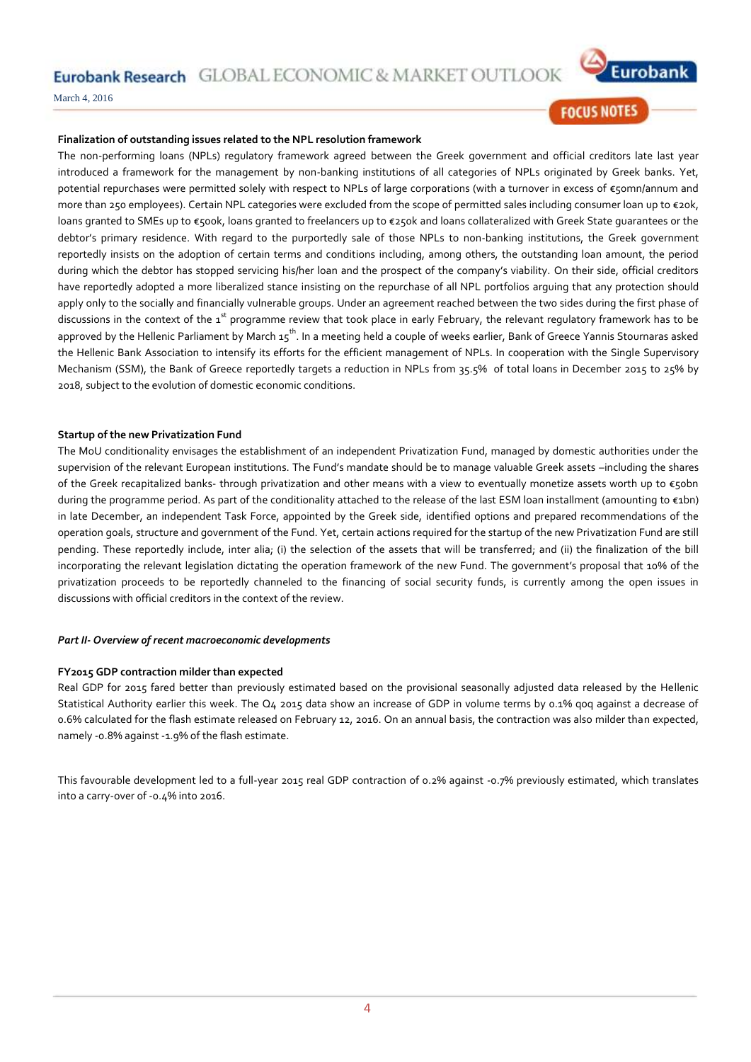Eurobank Research GLOBAL ECONOMIC & MARKET OUTLO



March 4, 2016

## **FOCUS NOTES**

#### **Finalization of outstanding issues related to the NPL resolution framework**

The non-performing loans (NPLs) regulatory framework agreed between the Greek government and official creditors late last year introduced a framework for the management by non-banking institutions of all categories of NPLs originated by Greek banks. Yet, potential repurchases were permitted solely with respect to NPLs of large corporations (with a turnover in excess of €50mn/annum and more than 250 employees). Certain NPL categories were excluded from the scope of permitted sales including consumer loan up to €20k, loans granted to SMEs up to €500k, loans granted to freelancers up to €250k and loans collateralized with Greek State guarantees or the debtor's primary residence. With regard to the purportedly sale of those NPLs to non-banking institutions, the Greek government reportedly insists on the adoption of certain terms and conditions including, among others, the outstanding loan amount, the period during which the debtor has stopped servicing his/her loan and the prospect of the company's viability. On their side, official creditors have reportedly adopted a more liberalized stance insisting on the repurchase of all NPL portfolios arguing that any protection should apply only to the socially and financially vulnerable groups. Under an agreement reached between the two sides during the first phase of discussions in the context of the  $1^{st}$  programme review that took place in early February, the relevant regulatory framework has to be approved by the Hellenic Parliament by March 15<sup>th</sup>. In a meeting held a couple of weeks earlier, Bank of Greece Yannis Stournaras asked the Hellenic Bank Association to intensify its efforts for the efficient management of NPLs. In cooperation with the Single Supervisory Mechanism (SSM), the Bank of Greece reportedly targets a reduction in NPLs from 35.5% of total loans in December 2015 to 25% by 2018, subject to the evolution of domestic economic conditions.

#### **Startup of the new Privatization Fund**

The MoU conditionality envisages the establishment of an independent Privatization Fund, managed by domestic authorities under the supervision of the relevant European institutions. The Fund's mandate should be to manage valuable Greek assets –including the shares of the Greek recapitalized banks- through privatization and other means with a view to eventually monetize assets worth up to €50bn during the programme period. As part of the conditionality attached to the release of the last ESM loan installment (amounting to €1bn) in late December, an independent Task Force, appointed by the Greek side, identified options and prepared recommendations of the operation goals, structure and government of the Fund. Yet, certain actions required for the startup of the new Privatization Fund are still pending. These reportedly include, inter alia; (i) the selection of the assets that will be transferred; and (ii) the finalization of the bill incorporating the relevant legislation dictating the operation framework of the new Fund. The government's proposal that 10% of the privatization proceeds to be reportedly channeled to the financing of social security funds, is currently among the open issues in discussions with official creditors in the context of the review.

#### *Part II- Overview of recent macroeconomic developments*

#### **FY2015 GDP contraction milder than expected**

Real GDP for 2015 fared better than previously estimated based on the provisional seasonally adjusted data released by the Hellenic Statistical Authority earlier this week. The Q4 2015 data show an increase of GDP in volume terms by 0.1% qoq against a decrease of 0.6% calculated for the flash estimate released on February 12, 2016. On an annual basis, the contraction was also milder than expected, namely -0.8% against -1.9% of the flash estimate.

This favourable development led to a full-year 2015 real GDP contraction of 0.2% against -0.7% previously estimated, which translates into a carry-over of -0.4% into 2016.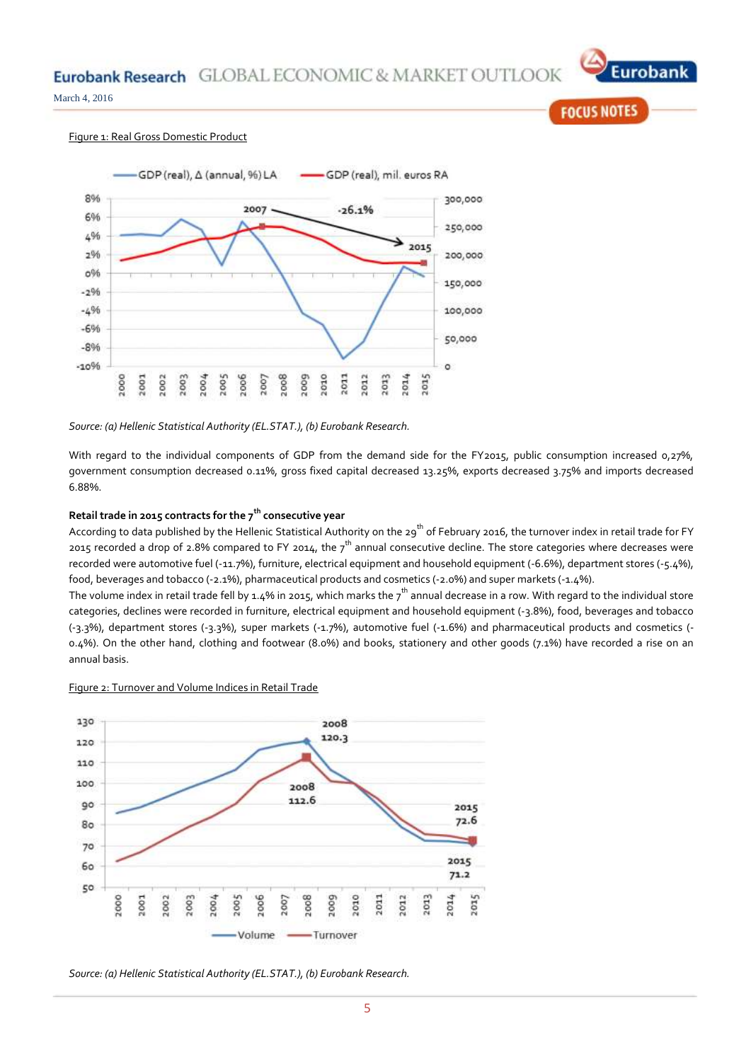

**FOCUS NOTES** 

March 4, 2016

#### Figure 1: Real Gross Domestic Product



#### *Source: (a) Hellenic Statistical Authority (EL.STAT.), (b) Eurobank Research.*

With regard to the individual components of GDP from the demand side for the FY2015, public consumption increased 0,27%, government consumption decreased 0.11%, gross fixed capital decreased 13.25%, exports decreased 3.75% and imports decreased 6.88%.

### **Retail trade in 2015 contracts for the 7th consecutive year**

According to data published by the Hellenic Statistical Authority on the  $29^{th}$  of February 2016, the turnover index in retail trade for FY 2015 recorded a drop of 2.8% compared to FY 2014, the  $7^{th}$  annual consecutive decline. The store categories where decreases were recorded were automotive fuel (-11.7%), furniture, electrical equipment and household equipment (-6.6%), department stores (-5.4%), food, beverages and tobacco (-2.1%), pharmaceutical products and cosmetics (-2.0%) and super markets (-1.4%).

The volume index in retail trade fell by 1.4% in 2015, which marks the  $7^{th}$  annual decrease in a row. With regard to the individual store categories, declines were recorded in furniture, electrical equipment and household equipment (-3.8%), food, beverages and tobacco (-3.3%), department stores (-3.3%), super markets (-1.7%), automotive fuel (-1.6%) and pharmaceutical products and cosmetics (- 0.4%). On the other hand, clothing and footwear (8.0%) and books, stationery and other goods (7.1%) have recorded a rise on an annual basis.

#### Figure 2: Turnover and Volume Indices in Retail Trade



*Source: (a) Hellenic Statistical Authority (EL.STAT.), (b) Eurobank Research.*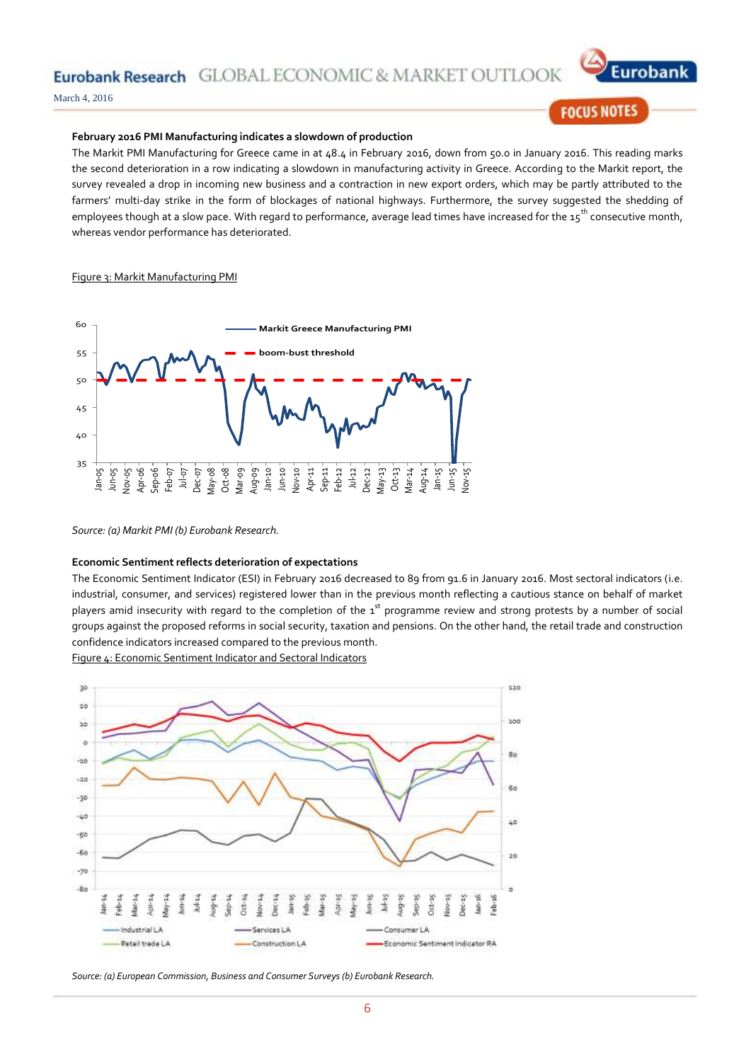Eurobank Research GLOBAL ECONOMIC & MARKET OU



March 4, 2016

# **FOCUS NOTES**

#### **February 2016 PMI Manufacturing indicates a slowdown of production**

The Markit PMI Manufacturing for Greece came in at 48.4 in February 2016, down from 50.0 in January 2016. This reading marks the second deterioration in a row indicating a slowdown in manufacturing activity in Greece. According to the Markit report, the survey revealed a drop in incoming new business and a contraction in new export orders, which may be partly attributed to the farmers' multi-day strike in the form of blockages of national highways. Furthermore, the survey suggested the shedding of employees though at a slow pace. With regard to performance, average lead times have increased for the 15<sup>th</sup> consecutive month, whereas vendor performance has deteriorated.

#### Figure 3: Markit Manufacturing PMI



*Source: (a) Markit PMI (b) Eurobank Research.*

#### **Economic Sentiment reflects deterioration of expectations**

The Economic Sentiment Indicator (ESI) in February 2016 decreased to 89 from 91.6 in January 2016. Most sectoral indicators (i.e. industrial, consumer, and services) registered lower than in the previous month reflecting a cautious stance on behalf of market players amid insecurity with regard to the completion of the 1st programme review and strong protests by a number of social groups against the proposed reforms in social security, taxation and pensions. On the other hand, the retail trade and construction confidence indicators increased compared to the previous month.

Figure 4: Economic Sentiment Indicator and Sectoral Indicators



*Source: (a) European Commission, Business and Consumer Surveys (b) Eurobank Research.*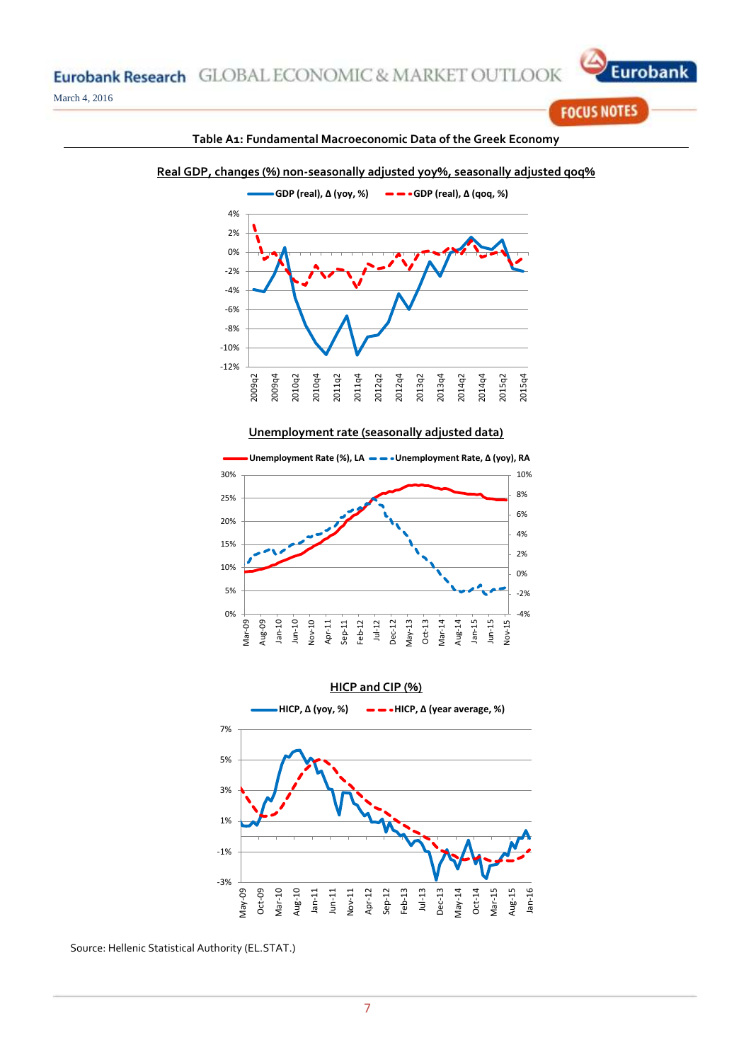

**FOCUS NOTES** 



# **Table A1: Fundamental Macroeconomic Data of the Greek Economy**

#### -12% -10% -8% 2009q2 2009q4 2010q2 2010q4 2011q2 2011q4 2012q2 2012q4 2013q2 2013q4 2014q2 2014q4 2015q2 2015q4

**Unemployment rate (seasonally adjusted data)**





Source: Hellenic Statistical Authority (EL.STAT.)